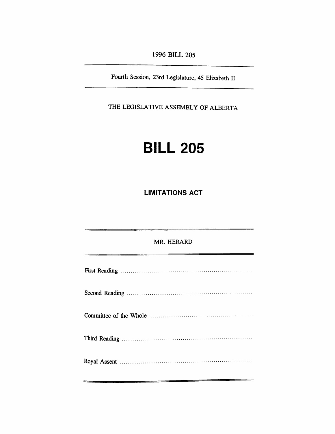*1996 BILL 205*

*Fourth Session, 23rd Legislature, 45 Elizabeth II*

*THE LEGISLATIVE ASSEMBLY OF ALBERTA*

## *BILL 205*

*LIMITATIONS ACT*

*MR. HERARD First Reading Second Reading Committee of the Whole Third Reading Royal Assent*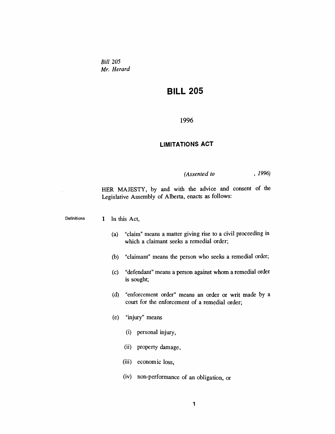*Bill 205 Mr. Herard*

## *BILL 205*

*1996*

## *LIMITATIONS ACT*

*(Assented to , 1996)*

*HER MAJESTY, by and with the advice and consent of the Legislative Assembly of Alberta, enacts as follows:*

*Definitions 1 In this Act,*

 $\mathcal{L}^{\text{max}}$  and

- *(a) "claim" means a matter giving rise to a civil proceeding in which a claimant seeks a remedial order;*
- *(b) "claimant" means the person who seeks a remedial order;*
- *(c) "defendant" means a person against whom a remedial order is sought;*
- *(d) "enforcement order" means an order or writ made by a court for the enforcement of a remedial order;*
- *(e) "injury" means*
	- *(i) personal injury,*
	- *(ii) property damage,*
	- *(iii) economic loss,*
	- *(iv) non-performance of an obligation, or*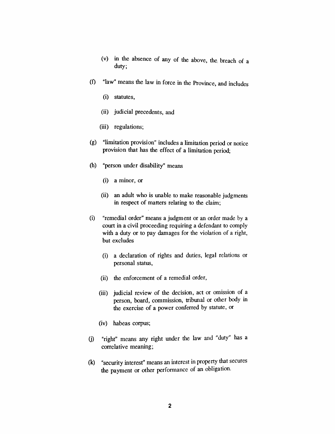- *(v) in the absence of any of the above, the. breach of a duty;*
- *(f) "law" means the law in force in the Province, and includes*
	- *(i) statutes,*
	- *(ii) judicial precedents, and*
	- *(iii) regulations;*
- *(g) "limitation provision" includes a limitation period or notice provision that has the effect of a limitation period;*
- *(h) "person under disability" means*
	- *(i) a minor, or*
	- *(ii) an adult who is unable to make reasonable judgments in respect of matters relating to the claim;*
- *(i) "remedial order" means a judgment or an order made by a court in a civil proceeding requiring a defendant to comply with a duty or to pay damages for the violation of a right, but excludes*
	- *(i) a declaration of rights and duties, legal relations or personal status,*
	- *(ii) the enforcement of a remedial order,*
	- *(iii) judicial review of the decision, act or omission of a person, board, commission, tribunal or other body in the exercise of a power conferred by statute, or*
	- *(iv) habeas corpus;*
- *(j) "right" means any right under the law and "duty" has a correlative meaning;*
- *(k) "security interest" means an interest in property that secures the payment or other performance of an obligation.*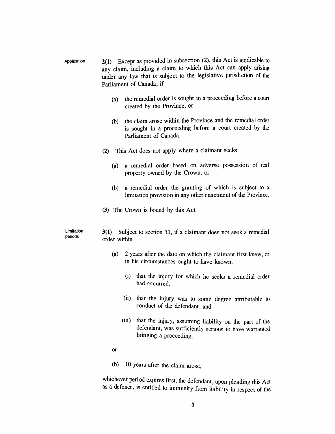- *Application 2(1) Except as provided in subsection (2), this Act is applicable to any claim, including a claim to which this Act can apply arising under any law that is subject to the legislative jurisdiction of the Parliament of Canada, if*
	- *(a) the remedial order is sought in a proceeding before a court created by the Province, or*
	- *(b) the claim arose within the Province and the remedial order is sought in a proceeding before a court created by the Parliament of Canada.*
	- *(2) This Act does not apply where a claimant seeks*
		- *(a) a remedial order based on adverse possession of real property owned by the Crown, or*
		- *(b) a remedial order the granting of which is subject to a limitation provision in any other enactment of the Province.*
	- *(3) The Crown is bound by this Act.*

*Limitation periods 3(1) Subject to section 11, if a claimant does not seek a remedial order within*

- *(a) 2 years after the date on which the claimant first knew, or in his circumstances ought to have known,*
	- *(i) that the injury for which he seeks a remedial order had occurred,*
	- *(ii) that the injury was to some degree attributable to conduct of the defendant, and*
	- *(iii) that the injury, assuming liability on the part of the defendant, was sufficiently serious to have warranted bringing a proceeding,*
- *or*
- *(b) 10 years after the claim arose,*

*whichever period expires first, the defendant, upon pleading this Act as a defence, is entitled to immunity from liability in respect of the*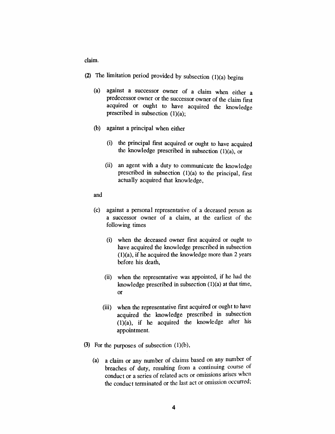*claim.*

- *(2) The limitation period provided by subsection (1)(a) begins*
	- *(a) against a successor owner of a claim when either a predecessor owner or the successor owner of the claim first acquired or ought to have acquired the knowledge prescribed in subsection (1)(a);*
	- *(b) against a principal when either*
		- *(i) the principal first acquired or ought to have acquired the knowledge prescribed in subsection (1)(a), or*
		- *(ii) an agent with a duty to communicate the knowledge prescribed in subsection (1)(a) to the principal, first actually acquired that knowledge,*
	- *and*
	- *(c) against a personal representative of a deceased person as a successor owner of a claim, at the earliest of the following times*
		- *(i) when the deceased owner first acquired or ought to have acquired the knowledge prescribed in subsection (1)(a), if he acquired the knowledge more than <sup>2</sup> years before his death,*
		- *(ii) when the representative was appointed, if he had the knowledge prescribed in subsection (1)(a) at that time, or*
		- *(iii) when the representative first acquired or ought to have acquired the knowledge prescribed in subsection (1)(a), if he acquired the knowledge after his appointment.*
- *(3) For the purposes of subsection (1)(b),*
	- *(a) a claim or any number of claims based on any number of breaches of duty, resulting from a continuing course of conduct or a series of related acts or omissions arises when the conduct terminated or the last act or omission occurred,*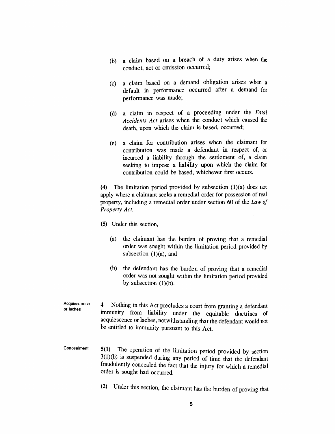- *(b) a claim based on a breach of a duty arises when the conduct, act or omission occurred;*
- *(c) a claim based on a demand obligation arises when a default in performance occurred after a demand for performance was made;*
- *(d) a claim in respect of a proceeding under the Fatal Accidents Act arises when the conduct which caused the death, upon which the claim is based, occurred;*
- *(e) a claim for contribution arises when the claimant for contribution was made a defendant in respect of, or incurred a liability through the settlement of, a claim seeking to impose a liability upon which the claim for contribution could be based, whichever first occurs.*

*(4) The limitation period provided by subsection (1)(a) does not apply where a claimant seeks a remedial order for possession of real property, including a remedial order under section 60 of the Law of Property Act.*

- *(5) Under this section,*
	- *(a) the claimant has the burden of proving that a remedial order was sought within the limitation period provided by subsection (1)(a), and*
	- *(b) the defendant has the burden of proving that a remedial order was not sought within the limitation period provided by subsection (1)(b).*
- *Acquiescence or laches 4 Nothing in this Act precludes a court from granting a defendant immunity from liability under the equitable doctrines of acquiescence or laches, notwithstanding that the defendant would not be entitled to immunity pursuant to this Act.*
- *Concealment 5(1) The operation of the limitation period provided by section 3(1)(b) is suspended during any period of time that the defendant fraudulently concealed the fact that the injury for which a remedial order is sought had occurred.*
	- *(2) Under this section, the claimant has the burden of proving that*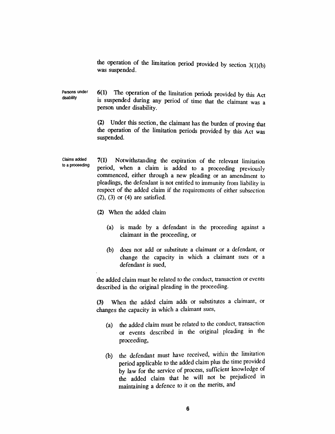*the operation of the limitation period provided by section 3(1)(b) was suspended.*

*Persons under disability 6(1) The operation of the limitation periods provided by this Act is suspended during any period of time that the claimant was a person under disability.*

> *(2) Under this section, the claimant has the burden of proving that the operation of the limitation periods provided by this Act was suspended.*

*Claims added to a proceeding 7(1) Notwithstanding the expiration of the relevant limitation period, when a claim is added to a proceeding previously commenced, either through a new pleading or an amendment to pleadings, the defendant is not entitled to immunity from liability in respect of the added claim if the requirements of either subsection (2), (3) or (4) are satisfied.*

- *(2) When the added claim*
	- *(a) is made by a defendant in the proceeding against a claimant in the proceeding, or*
	- *(b) does not add or substitute a claimant or a defendant, or change the capacity in which a claimant sues or a defendant is sued,*

*the added claim must be related to the conduct, transaction or events described in the original pleading in the proceeding.*

*(3) When the added claim adds or substitutes a claimant, or changes the capacity in which a claimant sues,*

- *(a) the added claim must be related to the conduct, transaction or events described in the original pleading in the proceeding,*
- *(b) the defendant must have received, within the limitation period applicable to the added claim plus the time provided by law for the service of process, sufficient knowledge of the added claim that he will not be prejudiced in maintaining a defence to it on the merits, and*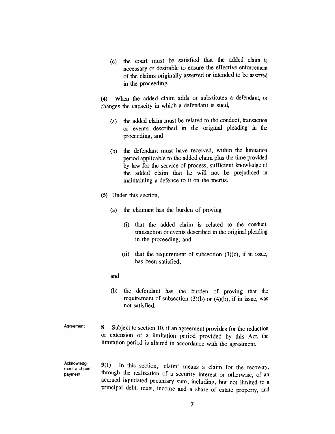*(c) the court must be satisfied that the added claim is necessary or desirable to ensure the effective enforcement of the claims originally asserted or intended to be asserted in the proceeding.*

*(4) When the added claim adds or substitutes a defendant, or changes the capacity in which a defendant is sued,*

- *(a) the added claim must be related to the conduct, transaction or events described in the original pleading in the proceeding, and*
- *(b) the defendant must have received, within the limitation period applicable to the added claim plus the time provided by law for the service of process, sufficient knowledge of the added claim that he will not be prejudiced in maintaining a defence to it on the merits.*
- *(5) Under this section,*
	- *(a) the claimant has the burden of proving*
		- *(i) that the added claim is related to the conduct, transaction or events described in the original pleading in the proceeding, and*
		- *(ii) that the requirement of subsection (3)(c), if in issue, has been satisfied,*
	- *and*
	- *(b) the defendant has the burden of proving that the requirement of subsection (3)(b) or (4)(b), if in issue, was not satisfied.*
- *Agreement 8 Subject to section 10, if an agreement provides for the reduction or extension of a limitation period provided by this Act, the limitation period is altered in accordance with the agreement.*

*Acknowledgment and part payment*

*9(1) In this section, "claim" means a claim for the recovery, through the realization of a security interest or otherwise, of an accrued liquidated pecuniary sum, including, but not limited to a principal debt, rents, income and a share of estate property, and*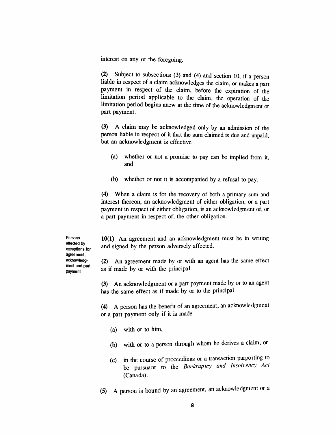*interest on any of the foregoing.*

*(2) Subject to subsections (3) and (4) and section 10, if a person liable in respect of a claim acknowledges the claim, or makes a part payment in respect of the claim, before the expiration of the limitation period applicable to the claim, the operation of the limitation period begins anew at the time of the acknowledgment or part payment.*

*(3) A claim may be acknowledged only by an admission of the person liable in respect of it that the sum claimed is due and unpaid, but an acknowledgment is effective*

- *(a) whether or not a promise to pay can be implied from it, and*
- *(b) whether or not it is accompanied by a refusal to pay.*

*(4) When a claim is for the recovery of both a primary sum and interest thereon, an acknowledgment of either obligation, or a part payment in respect of either obligation, is an acknowledgment of, or a part payment in respect of, the other obligation.*

*Persons affected by exceptions for agreement, acknowledgment and part payment*

*10(1) An agreement and an acknowledgment must be in writing and signed by the person adversely affected.*

*(2) An agreement made by or with an agent has the same effect as if made by or with the principal.*

*(3) An acknowledgment or a part payment made by or to an agent has the same effect as if made by or to the principal.*

*(4) A person has the benefit of an agreement, an acknowledgment or a part payment only if it is made*

- *(a) with or to him,*
- *(b) with or to a person through whom he derives a claim, or*
- *(c) in the course of proceedings or a transaction purporting to be pursuant to the Bankruptcy and Insolvency Act (Canada).*
- *(5) A person is bound by an agreement, an acknowledgment or a*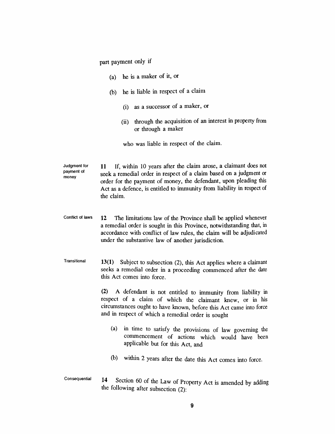*part payment only if*

- *(a) he is a maker of it, or*
- *(b) he is liable in respect of a claim*
	- *(i) as a successor of a maker, or*
	- *(ii) through the acquisition of an interest in property from or through a maker*

*who was liable in respect of the claim.*

*Judgment for payment of money 11 If, within 10 years after the claim arose, a claimant does not seek a remedial order in respect of a claim based on a judgment or order for the payment of money, the defendant, upon pleading this Act as a defence, is entitled to immunity from liability in respect of the claim.*

- *Conflict of laws 12 The limitations law of the Province shall be applied whenever a remedial order is sought in this Province, notwithstanding that, in accordance with conflict of law rules, the claim will be adjudicated under the substantive law of another jurisdiction.*
- *Transitional 13(1) Subject to subsection (2), this Act applies where a claimant seeks a remedial order in a proceeding commenced after the date this Act comes into force.*

*(2) A defendant is not entitled to immunity from liability in respect of a claim of which the claimant knew, or in his circumstances ought to have known, before this Act came into force and in respect of which a remedial order is sought*

- *(a) in time to satisfy the provisions of law governing the commencement of actions which would have been applicable but for this Act, and*
- *(b) within 2 years after the date this Act comes into force.*
- *Consequential 14 Section 60 of the Law of Property Act is amended by adding the following after subsection (2):*